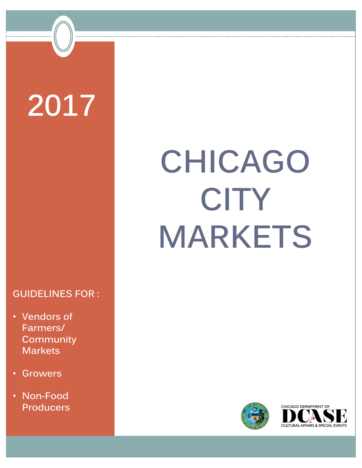# **2017**

### **GUIDELINES FOR :**

- **Vendors of Farmers/ Community Markets**
- **Growers**
- **Non-Food Producers**

# **CHICAGO CITY MARKETS**



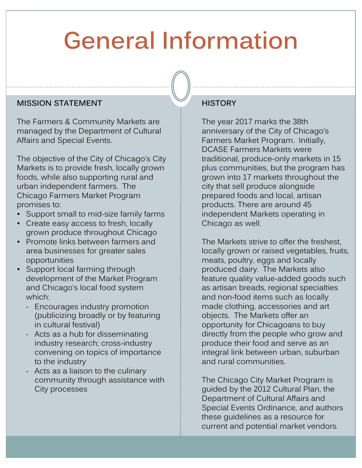### **General Information**

#### **MISSION STATEMENT**

The Farmers & Community Markets are managed by the Department of Cultural Affairs and Special Events.

The objective of the City of Chicago's City Markets is to provide fresh, locally grown foods, while also supporting rural and urban independent farmers. The Chicago Farmers Market Program promises to:

- Support small to mid-size family farms
- Create easy access to fresh, locally grown produce throughout Chicago
- Promote links between farmers and area businesses for greater sales opportunities
- Support local farming through development of the Market Program and Chicago's local food system which:
	- ‐ Encourages industry promotion (publicizing broadly or by featuring in cultural festival)
	- ‐ Acts as a hub for disseminating industry research; cross-industry convening on topics of importance to the industry
	- ‐ Acts as a liaison to the culinary community through assistance with City processes

#### **HISTORY**

The year 2017 marks the 38th anniversary of the City of Chicago's Farmers Market Program. Initially, DCASE Farmers Markets were traditional, produce-only markets in 15 plus communities, but the program has grown into 17 markets throughout the city that sell produce alongside prepared foods and local, artisan products. There are around 45 independent Markets operating in Chicago as well.

The Markets strive to offer the freshest locally grown or raised vegetables, fruits, meats, poultry, eggs and locally produced dairy. The Markets also feature quality value-added goods such as artisan breads, regional specialties and non-food items such as locally made clothing, accessories and art objects. The Markets offer an opportunity for Chicagoans to buy directly from the people who grow and produce their food and serve as an integral link between urban, suburban and rural communities.

The Chicago City Market Program is guided by the 2012 Cultural Plan, the Department of Cultural Affairs and Special Events Ordinance, and authors these guidelines as a resource for current and potential market vendors.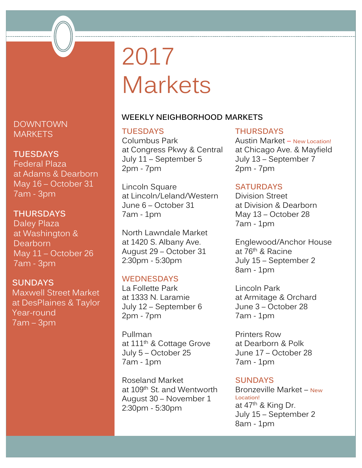### 2017 Markets

#### **WEEKLY NEIGHBORHOOD MARKETS**

#### **TUESDAYS**

Columbus Park at Congress Pkwy & Central July 11 – September 5 2pm - 7pm

Lincoln Square at Lincoln/Leland/Western June 6 – October 31 7am - 1pm

North Lawndale Market at 1420 S. Albany Ave. August 29 – October 31 2:30pm - 5:30pm

#### **WEDNESDAYS**

La Follette Park at 1333 N. Laramie July 12 – September 6 2pm - 7pm

Pullman at 111<sup>th</sup> & Cottage Grove July 5 – October 25 7am - 1pm

Roseland Market at 109th St. and Wentworth August 30 – November 1 2:30pm - 5:30pm

#### **THURSDAYS**

Austin Market – **New Location!** at Chicago Ave. & Mayfield July 13 – September 7 2pm - 7pm

#### **SATURDAYS**

Division Street at Division & Dearborn May 13 – October 28 7am - 1pm

Englewood/Anchor House at 76th & Racine July 15 – September 2 8am - 1pm

Lincoln Park at Armitage & Orchard June 3 – October 28 7am - 1pm

Printers Row at Dearborn & Polk June 17 – October 28 7am - 1pm

#### **SUNDAYS**

Bronzeville Market – **New Location!** at 47<sup>th</sup> & King Dr. July 15 – September 2 8am - 1pm

DOWNTOWN **MARKETS** 

#### **TUESDAYS**

Federal Plaza at Adams & Dearborn May 16 – October 31 7am - 3pm

#### **THURSDAYS**

Daley Plaza at Washington & Dearborn May 11 – October 26 7am - 3pm

#### **SUNDAYS**

Maxwell Street Market at DesPlaines & Taylor Year-round 7am – 3pm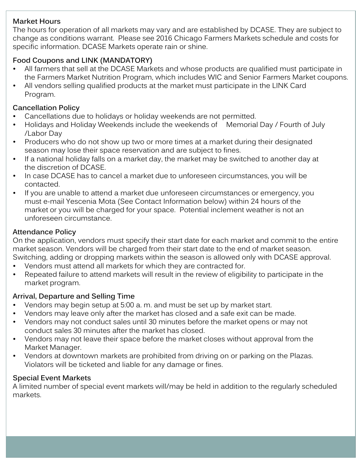#### **Market Hours**

The hours for operation of all markets may vary and are established by DCASE. They are subject to change as conditions warrant. Please see 2016 Chicago Farmers Markets schedule and costs for specific information. DCASE Markets operate rain or shine.

#### **Food Coupons and LINK (MANDATORY)**

- All farmers that sell at the DCASE Markets and whose products are qualified must participate in the Farmers Market Nutrition Program, which includes WIC and Senior Farmers Market coupons.
- All vendors selling qualified products at the market must participate in the LINK Card Program.

#### **Cancellation Policy**

- Cancellations due to holidays or holiday weekends are not permitted.
- Holidays and Holiday Weekends include the weekends of Memorial Day / Fourth of July /Labor Day
- Producers who do not show up two or more times at a market during their designated season may lose their space reservation and are subject to fines.
- If a national holiday falls on a market day, the market may be switched to another day at the discretion of DCASE.
- In case DCASE has to cancel a market due to unforeseen circumstances, you will be contacted.
- If you are unable to attend a market due unforeseen circumstances or emergency, you must e-mail Yescenia Mota (See Contact Information below) within 24 hours of the market or you will be charged for your space. Potential inclement weather is not an unforeseen circumstance.

#### **Attendance Policy**

On the application, vendors must specify their start date for each market and commit to the entire market season. Vendors will be charged from their start date to the end of market season. Switching, adding or dropping markets within the season is allowed only with DCASE approval.

- Vendors must attend all markets for which they are contracted for.
- Repeated failure to attend markets will result in the review of eligibility to participate in the market program.

#### **Arrival, Departure and Selling Time**

- Vendors may begin setup at 5:00 a. m. and must be set up by market start.
- Vendors may leave only after the market has closed and a safe exit can be made.
- Vendors may not conduct sales until 30 minutes before the market opens or may not conduct sales 30 minutes after the market has closed.
- Vendors may not leave their space before the market closes without approval from the Market Manager.
- Vendors at downtown markets are prohibited from driving on or parking on the Plazas. Violators will be ticketed and liable for any damage or fines.

#### **Special Event Markets**

A limited number of special event markets will/may be held in addition to the regularly scheduled markets.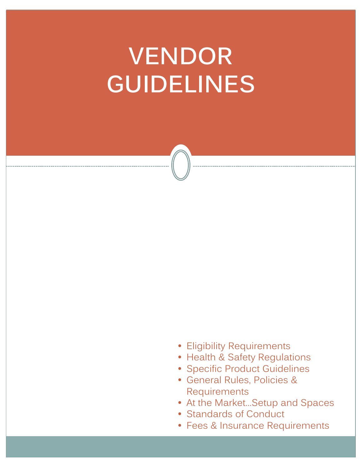### **VENDOR GUIDELINES**

- Eligibility Requirements
- Health & Safety Regulations
- Specific Product Guidelines
- General Rules, Policies & Requirements
- At the Market…Setup and Spaces
- Standards of Conduct
- Fees & Insurance Requirements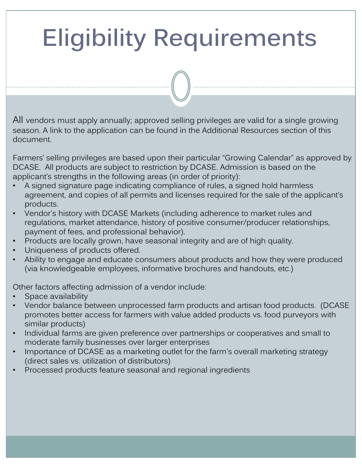## **Eligibility Requirements**

All vendors must apply annually; approved selling privileges are valid for a single growing season. A link to the application can be found in the Additional Resources section of this document.

Farmers' selling privileges are based upon their particular "Growing Calendar" as approved by DCASE. All products are subject to restriction by DCASE. Admission is based on the applicant's strengths in the following areas (in order of priority):

- A signed signature page indicating compliance of rules, a signed hold harmless agreement, and copies of all permits and licenses required for the sale of the applicant's products.
- Vendor's history with DCASE Markets (including adherence to market rules and regulations, market attendance, history of positive consumer/producer relationships, payment of fees, and professional behavior).
- Products are locally grown, have seasonal integrity and are of high quality.
- Uniqueness of products offered.
- Ability to engage and educate consumers about products and how they were produced (via knowledgeable employees, informative brochures and handouts, etc.)

Other factors affecting admission of a vendor include:

- Space availability
- Vendor balance between unprocessed farm products and artisan food products. (DCASE promotes better access for farmers with value added products vs. food purveyors with similar products)
- Individual farms are given preference over partnerships or cooperatives and small to moderate family businesses over larger enterprises
- Importance of DCASE as a marketing outlet for the farm's overall marketing strategy (direct sales vs. utilization of distributors)
- Processed products feature seasonal and regional ingredients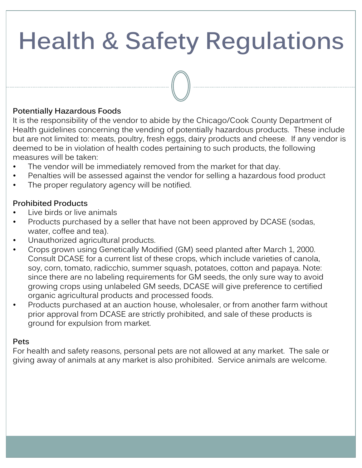### **Health & Safety Regulations**

#### **Potentially Hazardous Foods**

It is the responsibility of the vendor to abide by the Chicago/Cook County Department of Health guidelines concerning the vending of potentially hazardous products. These include but are not limited to: meats, poultry, fresh eggs, dairy products and cheese. If any vendor is deemed to be in violation of health codes pertaining to such products, the following measures will be taken:

- The vendor will be immediately removed from the market for that day.
- Penalties will be assessed against the vendor for selling a hazardous food product
- The proper regulatory agency will be notified.

#### **Prohibited Products**

- Live birds or live animals
- Products purchased by a seller that have not been approved by DCASE (sodas, water, coffee and tea).
- Unauthorized agricultural products.
- Crops grown using Genetically Modified (GM) seed planted after March 1, 2000. Consult DCASE for a current list of these crops, which include varieties of canola, soy, corn, tomato, radicchio, summer squash, potatoes, cotton and papaya. Note: since there are no labeling requirements for GM seeds, the only sure way to avoid growing crops using unlabeled GM seeds, DCASE will give preference to certified organic agricultural products and processed foods.
- Products purchased at an auction house, wholesaler, or from another farm without prior approval from DCASE are strictly prohibited, and sale of these products is ground for expulsion from market.

#### **Pets**

For health and safety reasons, personal pets are not allowed at any market. The sale or giving away of animals at any market is also prohibited. Service animals are welcome.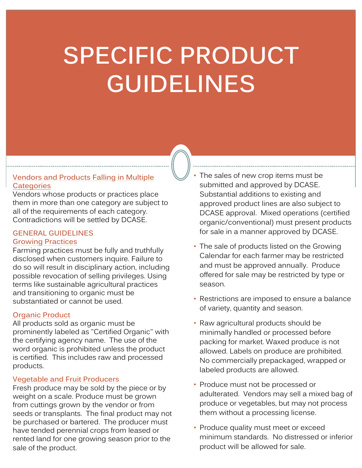### **SPECIFIC PRODUCT GUIDELINES**

#### **Vendors and Products Falling in Multiple Categories**

Vendors whose products or practices place them in more than one category are subject to all of the requirements of each category. Contradictions will be settled by DCASE.

#### **GENERAL GUIDELINES**

#### **Growing Practices**

Farming practices must be fully and truthfully disclosed when customers inquire. Failure to do so will result in disciplinary action, including possible revocation of selling privileges. Using terms like sustainable agricultural practices and transitioning to organic must be substantiated or cannot be used.

#### **Organic Product**

All products sold as organic must be prominently labeled as "Certified Organic" with the certifying agency name. The use of the word organic is prohibited unless the product is certified. This includes raw and processed products.

#### **Vegetable and Fruit Producers**

Fresh produce may be sold by the piece or by weight on a scale. Produce must be grown from cuttings grown by the vendor or from seeds or transplants. The final product may not be purchased or bartered. The producer must have tended perennial crops from leased or rented land for one growing season prior to the sale of the product.

The sales of new crop items must be submitted and approved by DCASE. Substantial additions to existing and approved product lines are also subject to DCASE approval. Mixed operations (certified organic/conventional) must present products for sale in a manner approved by DCASE.

- The sale of products listed on the Growing Calendar for each farmer may be restricted and must be approved annually. Produce offered for sale may be restricted by type or season.
- Restrictions are imposed to ensure a balance of variety, quantity and season.
- Raw agricultural products should be minimally handled or processed before packing for market. Waxed produce is not allowed. Labels on produce are prohibited. No commercially prepackaged, wrapped or labeled products are allowed.
- Produce must not be processed or adulterated. Vendors may sell a mixed bag of produce or vegetables, but may not process them without a processing license.
- Produce quality must meet or exceed minimum standards. No distressed or inferior product will be allowed for sale.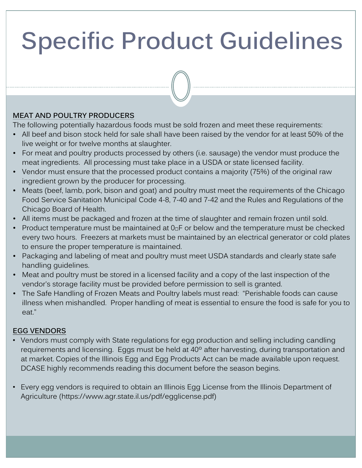#### **MEAT AND POULTRY PRODUCERS**

The following potentially hazardous foods must be sold frozen and meet these requirements:

- All beef and bison stock held for sale shall have been raised by the vendor for at least 50% of the live weight or for twelve months at slaughter.
- For meat and poultry products processed by others (i.e. sausage) the vendor must produce the meat ingredients. All processing must take place in a USDA or state licensed facility.
- Vendor must ensure that the processed product contains a majority (75%) of the original raw ingredient grown by the producer for processing.
- Meats (beef, lamb, pork, bison and goat) and poultry must meet the requirements of the Chicago Food Service Sanitation Municipal Code 4-8, 7-40 and 7-42 and the Rules and Regulations of the Chicago Board of Health.
- All items must be packaged and frozen at the time of slaughter and remain frozen until sold.
- Product temperature must be maintained at  $0<sub>u</sub>F$  or below and the temperature must be checked every two hours. Freezers at markets must be maintained by an electrical generator or cold plates to ensure the proper temperature is maintained.
- Packaging and labeling of meat and poultry must meet USDA standards and clearly state safe handling guidelines.
- Meat and poultry must be stored in a licensed facility and a copy of the last inspection of the vendor's storage facility must be provided before permission to sell is granted.
- The Safe Handling of Frozen Meats and Poultry labels must read: "Perishable foods can cause illness when mishandled. Proper handling of meat is essential to ensure the food is safe for you to eat."

#### **EGG VENDORS**

- Vendors must comply with State regulations for egg production and selling including candling requirements and licensing. Eggs must be held at 40º after harvesting, during transportation and at market. Copies of the Illinois Egg and Egg Products Act can be made available upon request. DCASE highly recommends reading this document before the season begins.
- Every egg vendors is required to obtain an Illinois Egg License from the Illinois Department of Agriculture (https://www.agr.state.il.us/pdf/egglicense.pdf)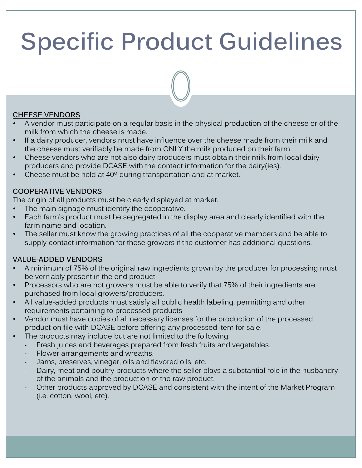#### **CHEESE VENDORS**

- A vendor must participate on a regular basis in the physical production of the cheese or of the milk from which the cheese is made.
- If a dairy producer, vendors must have influence over the cheese made from their milk and the cheese must verifiably be made from ONLY the milk produced on their farm.
- Cheese vendors who are not also dairy producers must obtain their milk from local dairy producers and provide DCASE with the contact information for the dairy(ies).
- Cheese must be held at 40º during transportation and at market.

#### **COOPERATIVE VENDORS**

The origin of all products must be clearly displayed at market.

- The main signage must identify the cooperative.
- Each farm's product must be segregated in the display area and clearly identified with the farm name and location.
- The seller must know the growing practices of all the cooperative members and be able to supply contact information for these growers if the customer has additional questions.

#### **VALUE-ADDED VENDORS**

- A minimum of 75% of the original raw ingredients grown by the producer for processing must be verifiably present in the end product.
- Processors who are not growers must be able to verify that 75% of their ingredients are purchased from local growers/producers.
- All value-added products must satisfy all public health labeling, permitting and other requirements pertaining to processed products
- Vendor must have copies of all necessary licenses for the production of the processed product on file with DCASE before offering any processed item for sale.
- The products may include but are not limited to the following:
	- ‐ Fresh juices and beverages prepared from fresh fruits and vegetables.
	- ‐ Flower arrangements and wreaths.
	- ‐ Jams, preserves, vinegar, oils and flavored oils, etc.
	- Dairy, meat and poultry products where the seller plays a substantial role in the husbandry of the animals and the production of the raw product.
	- Other products approved by DCASE and consistent with the intent of the Market Program (i.e. cotton, wool, etc).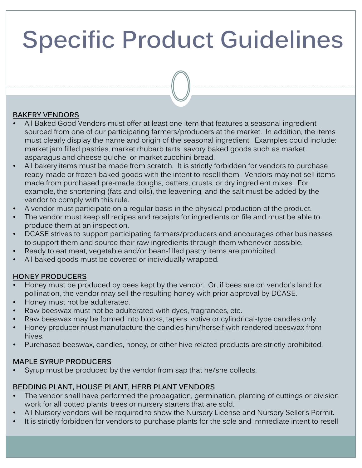#### **BAKERY VENDORS**

- All Baked Good Vendors must offer at least one item that features a seasonal ingredient sourced from one of our participating farmers/producers at the market. In addition, the items must clearly display the name and origin of the seasonal ingredient. Examples could include: market jam filled pastries, market rhubarb tarts, savory baked goods such as market asparagus and cheese quiche, or market zucchini bread.
- All bakery items must be made from scratch. It is strictly forbidden for vendors to purchase ready-made or frozen baked goods with the intent to resell them. Vendors may not sell items made from purchased pre-made doughs, batters, crusts, or dry ingredient mixes. For example, the shortening (fats and oils), the leavening, and the salt must be added by the vendor to comply with this rule.
- A vendor must participate on a regular basis in the physical production of the product.
- The vendor must keep all recipes and receipts for ingredients on file and must be able to produce them at an inspection.
- DCASE strives to support participating farmers/producers and encourages other businesses to support them and source their raw ingredients through them whenever possible.
- Ready to eat meat, vegetable and/or bean-filled pastry items are prohibited.
- All baked goods must be covered or individually wrapped.

#### **HONEY PRODUCERS**

- Honey must be produced by bees kept by the vendor. Or, if bees are on vendor's land for pollination, the vendor may sell the resulting honey with prior approval by DCASE.
- Honey must not be adulterated.
- Raw beeswax must not be adulterated with dyes, fragrances, etc.
- Raw beeswax may be formed into blocks, tapers, votive or cylindrical-type candles only.
- Honey producer must manufacture the candles him/herself with rendered beeswax from hives.
- Purchased beeswax, candles, honey, or other hive related products are strictly prohibited.

#### **MAPLE SYRUP PRODUCERS**

Syrup must be produced by the vendor from sap that he/she collects.

#### **BEDDING PLANT, HOUSE PLANT, HERB PLANT VENDORS**

- The vendor shall have performed the propagation, germination, planting of cuttings or division work for all potted plants, trees or nursery starters that are sold.
- All Nursery vendors will be required to show the Nursery License and Nursery Seller's Permit.
- It is strictly forbidden for vendors to purchase plants for the sole and immediate intent to resell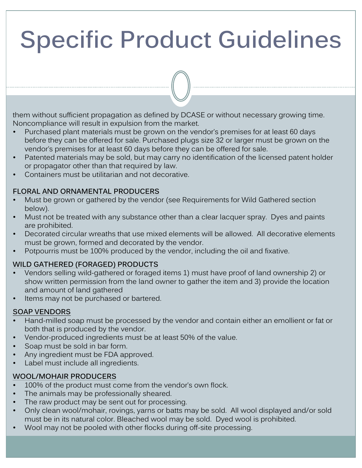them without sufficient propagation as defined by DCASE or without necessary growing time. Noncompliance will result in expulsion from the market.

- Purchased plant materials must be grown on the vendor's premises for at least 60 days before they can be offered for sale. Purchased plugs size 32 or larger must be grown on the vendor's premises for at least 60 days before they can be offered for sale.
- Patented materials may be sold, but may carry no identification of the licensed patent holder or propagator other than that required by law.
- Containers must be utilitarian and not decorative.

#### **FLORAL AND ORNAMENTAL PRODUCERS**

- Must be grown or gathered by the vendor (see Requirements for Wild Gathered section below).
- Must not be treated with any substance other than a clear lacquer spray. Dyes and paints are prohibited.
- Decorated circular wreaths that use mixed elements will be allowed. All decorative elements must be grown, formed and decorated by the vendor.
- Potpourris must be 100% produced by the vendor, including the oil and fixative.

#### **WILD GATHERED (FORAGED) PRODUCTS**

- Vendors selling wild-gathered or foraged items 1) must have proof of land ownership 2) or show written permission from the land owner to gather the item and 3) provide the location and amount of land gathered
- Items may not be purchased or bartered.

#### **SOAP VENDORS**

- Hand-milled soap must be processed by the vendor and contain either an emollient or fat or both that is produced by the vendor.
- Vendor-produced ingredients must be at least 50% of the value.
- Soap must be sold in bar form.
- Any ingredient must be FDA approved.
- Label must include all ingredients.

#### **WOOL/MOHAIR PRODUCERS**

- 100% of the product must come from the vendor's own flock.
- The animals may be professionally sheared.
- The raw product may be sent out for processing.
- Only clean wool/mohair, rovings, yarns or batts may be sold. All wool displayed and/or sold must be in its natural color. Bleached wool may be sold. Dyed wool is prohibited.
- Wool may not be pooled with other flocks during off-site processing.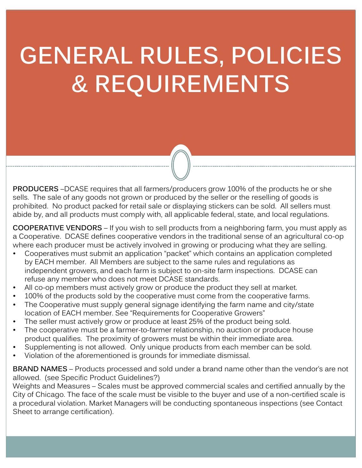### **GENERAL RULES, POLICIES & REQUIREMENTS**

**PRODUCERS** –DCASE requires that all farmers/producers grow 100% of the products he or she sells. The sale of any goods not grown or produced by the seller or the reselling of goods is prohibited. No product packed for retail sale or displaying stickers can be sold. All sellers must abide by, and all products must comply with, all applicable federal, state, and local regulations.

**COOPERATIVE VENDORS** – If you wish to sell products from a neighboring farm, you must apply as a Cooperative. DCASE defines cooperative vendors in the traditional sense of an agricultural co-op where each producer must be actively involved in growing or producing what they are selling.

- Cooperatives must submit an application "packet" which contains an application completed by EACH member. All Members are subject to the same rules and regulations as independent growers, and each farm is subject to on-site farm inspections. DCASE can refuse any member who does not meet DCASE standards.
- All co-op members must actively grow or produce the product they sell at market.
- 100% of the products sold by the cooperative must come from the cooperative farms.
- The Cooperative must supply general signage identifying the farm name and city/state location of EACH member. See "Requirements for Cooperative Growers"
- The seller must actively grow or produce at least 25% of the product being sold.
- The cooperative must be a farmer-to-farmer relationship, no auction or produce house product qualifies. The proximity of growers must be within their immediate area.
- Supplementing is not allowed. Only unique products from each member can be sold.
- Violation of the aforementioned is grounds for immediate dismissal.

**BRAND NAMES** – Products processed and sold under a brand name other than the vendor's are not allowed. (see Specific Product Guidelines?)

Weights and Measures – Scales must be approved commercial scales and certified annually by the City of Chicago. The face of the scale must be visible to the buyer and use of a non-certified scale is a procedural violation. Market Managers will be conducting spontaneous inspections (see Contact Sheet to arrange certification).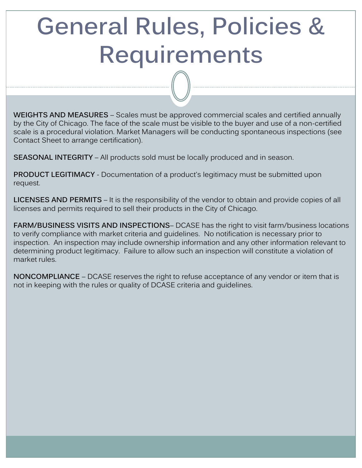### **General Rules, Policies & Requirements**

**WEIGHTS AND MEASURES** – Scales must be approved commercial scales and certified annually by the City of Chicago. The face of the scale must be visible to the buyer and use of a non-certified scale is a procedural violation. Market Managers will be conducting spontaneous inspections (see Contact Sheet to arrange certification).

**SEASONAL INTEGRITY** – All products sold must be locally produced and in season.

**PRODUCT LEGITIMACY** - Documentation of a product's legitimacy must be submitted upon request.

**LICENSES AND PERMITS** – It is the responsibility of the vendor to obtain and provide copies of all licenses and permits required to sell their products in the City of Chicago.

**FARM/BUSINESS VISITS AND INSPECTIONS**– DCASE has the right to visit farm/business locations to verify compliance with market criteria and guidelines. No notification is necessary prior to inspection. An inspection may include ownership information and any other information relevant to determining product legitimacy. Failure to allow such an inspection will constitute a violation of market rules.

**NONCOMPLIANCE** – DCASE reserves the right to refuse acceptance of any vendor or item that is not in keeping with the rules or quality of DCASE criteria and guidelines.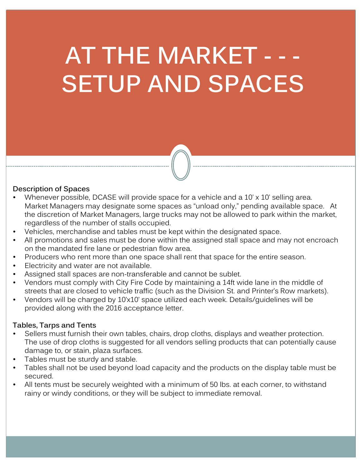### **AT THE MARKET - - - SETUP AND SPACES**

#### **Description of Spaces**

- Whenever possible, DCASE will provide space for a vehicle and a 10' x 10' selling area. Market Managers may designate some spaces as "unload only," pending available space. At the discretion of Market Managers, large trucks may not be allowed to park within the market, regardless of the number of stalls occupied.
- Vehicles, merchandise and tables must be kept within the designated space.
- All promotions and sales must be done within the assigned stall space and may not encroach on the mandated fire lane or pedestrian flow area.
- Producers who rent more than one space shall rent that space for the entire season.
- Electricity and water are not available.
- Assigned stall spaces are non-transferable and cannot be sublet.
- Vendors must comply with City Fire Code by maintaining a 14ft wide lane in the middle of streets that are closed to vehicle traffic (such as the Division St. and Printer's Row markets).
- Vendors will be charged by 10'x10' space utilized each week. Details/guidelines will be provided along with the 2016 acceptance letter.

#### **Tables, Tarps and Tents**

- Sellers must furnish their own tables, chairs, drop cloths, displays and weather protection. The use of drop cloths is suggested for all vendors selling products that can potentially cause damage to, or stain, plaza surfaces.
- Tables must be sturdy and stable.
- Tables shall not be used beyond load capacity and the products on the display table must be secured.
- All tents must be securely weighted with a minimum of 50 lbs. at each corner, to withstand rainy or windy conditions, or they will be subject to immediate removal.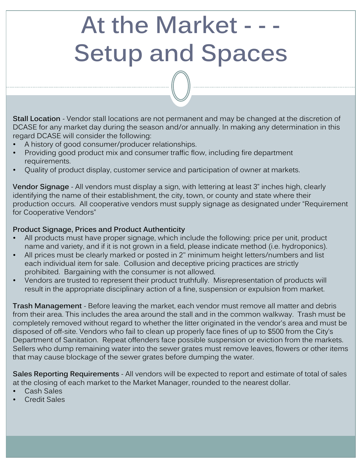### **At the Market - - - Setup and Spaces**

**Stall Location** - Vendor stall locations are not permanent and may be changed at the discretion of DCASE for any market day during the season and/or annually. In making any determination in this regard DCASE will consider the following:

- A history of good consumer/producer relationships.
- Providing good product mix and consumer traffic flow, including fire department requirements.
- Quality of product display, customer service and participation of owner at markets.

**Vendor Signage** - All vendors must display a sign, with lettering at least 3" inches high, clearly identifying the name of their establishment, the city, town, or county and state where their production occurs. All cooperative vendors must supply signage as designated under "Requirement for Cooperative Vendors"

#### **Product Signage, Prices and Product Authenticity**

- All products must have proper signage, which include the following: price per unit, product name and variety, and if it is not grown in a field, please indicate method (i.e. hydroponics).
- All prices must be clearly marked or posted in 2" minimum height letters/numbers and list each individual item for sale. Collusion and deceptive pricing practices are strictly prohibited. Bargaining with the consumer is not allowed.
- Vendors are trusted to represent their product truthfully. Misrepresentation of products will result in the appropriate disciplinary action of a fine, suspension or expulsion from market.

**Trash Management** - Before leaving the market, each vendor must remove all matter and debris from their area. This includes the area around the stall and in the common walkway. Trash must be completely removed without regard to whether the litter originated in the vendor's area and must be disposed of off-site. Vendors who fail to clean up properly face fines of up to \$500 from the City's Department of Sanitation. Repeat offenders face possible suspension or eviction from the markets. Sellers who dump remaining water into the sewer grates must remove leaves, flowers or other items that may cause blockage of the sewer grates before dumping the water.

**Sales Reporting Requirements** - All vendors will be expected to report and estimate of total of sales at the closing of each market to the Market Manager, rounded to the nearest dollar.

- Cash Sales
- Credit Sales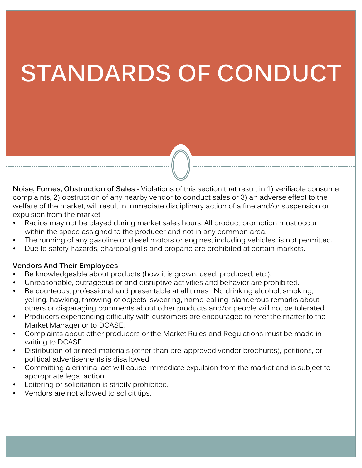### **STANDARDS OF CONDUCT**

**Noise, Fumes, Obstruction of Sales** - Violations of this section that result in 1) verifiable consumer complaints, 2) obstruction of any nearby vendor to conduct sales or 3) an adverse effect to the welfare of the market, will result in immediate disciplinary action of a fine and/or suspension or expulsion from the market.

- Radios may not be played during market sales hours. All product promotion must occur within the space assigned to the producer and not in any common area.
- The running of any gasoline or diesel motors or engines, including vehicles, is not permitted.
- Due to safety hazards, charcoal grills and propane are prohibited at certain markets.

#### **Vendors And Their Employees**

- Be knowledgeable about products (how it is grown, used, produced, etc.).
- Unreasonable, outrageous or and disruptive activities and behavior are prohibited.
- Be courteous, professional and presentable at all times. No drinking alcohol, smoking, yelling, hawking, throwing of objects, swearing, name-calling, slanderous remarks about others or disparaging comments about other products and/or people will not be tolerated.
- Producers experiencing difficulty with customers are encouraged to refer the matter to the Market Manager or to DCASE.
- Complaints about other producers or the Market Rules and Regulations must be made in writing to DCASE.
- Distribution of printed materials (other than pre-approved vendor brochures), petitions, or political advertisements is disallowed.
- Committing a criminal act will cause immediate expulsion from the market and is subject to appropriate legal action.
- Loitering or solicitation is strictly prohibited.
- Vendors are not allowed to solicit tips.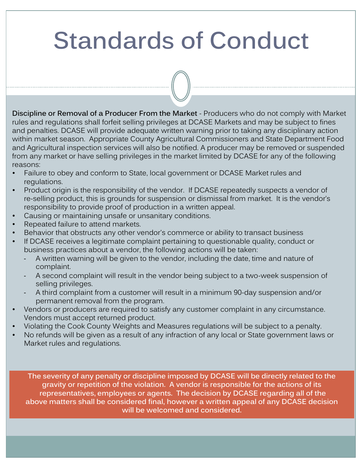### **Standards of Conduct**

**Discipline or Removal of a Producer From the Market** - Producers who do not comply with Market rules and regulations shall forfeit selling privileges at DCASE Markets and may be subject to fines and penalties. DCASE will provide adequate written warning prior to taking any disciplinary action within market season. Appropriate County Agricultural Commissioners and State Department Food and Agricultural inspection services will also be notified. A producer may be removed or suspended from any market or have selling privileges in the market limited by DCASE for any of the following reasons:

- Failure to obey and conform to State, local government or DCASE Market rules and regulations.
- Product origin is the responsibility of the vendor. If DCASE repeatedly suspects a vendor of re-selling product, this is grounds for suspension or dismissal from market. It is the vendor's responsibility to provide proof of production in a written appeal.
- Causing or maintaining unsafe or unsanitary conditions.
- Repeated failure to attend markets.
- Behavior that obstructs any other vendor's commerce or ability to transact business
- If DCASE receives a legitimate complaint pertaining to questionable quality, conduct or business practices about a vendor, the following actions will be taken:
	- ‐ A written warning will be given to the vendor, including the date, time and nature of complaint.
	- ‐ A second complaint will result in the vendor being subject to a two-week suspension of selling privileges.
	- ‐ A third complaint from a customer will result in a minimum 90-day suspension and/or permanent removal from the program.
- Vendors or producers are required to satisfy any customer complaint in any circumstance. Vendors must accept returned product.
- Violating the Cook County Weights and Measures regulations will be subject to a penalty.
- No refunds will be given as a result of any infraction of any local or State government laws or Market rules and regulations.

**The severity of any penalty or discipline imposed by DCASE will be directly related to the gravity or repetition of the violation. A vendor is responsible for the actions of its representatives, employees or agents. The decision by DCASE regarding all of the above matters shall be considered final, however a written appeal of any DCASE decision will be welcomed and considered.**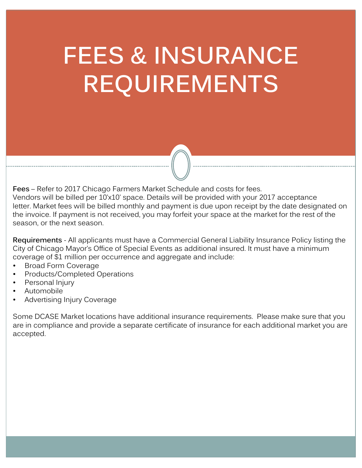### **FEES & INSURANCE REQUIREMENTS**

**Fees** – Refer to 2017 Chicago Farmers Market Schedule and costs for fees. Vendors will be billed per 10'x10' space. Details will be provided with your 2017 acceptance letter. Market fees will be billed monthly and payment is due upon receipt by the date designated on the invoice. If payment is not received, you may forfeit your space at the market for the rest of the season, or the next season.

**Requirements** - All applicants must have a Commercial General Liability Insurance Policy listing the City of Chicago Mayor's Office of Special Events as additional insured. It must have a minimum coverage of \$1 million per occurrence and aggregate and include:

- Broad Form Coverage
- Products/Completed Operations
- Personal Injury
- Automobile
- Advertising Injury Coverage

Some DCASE Market locations have additional insurance requirements. Please make sure that you are in compliance and provide a separate certificate of insurance for each additional market you are accepted.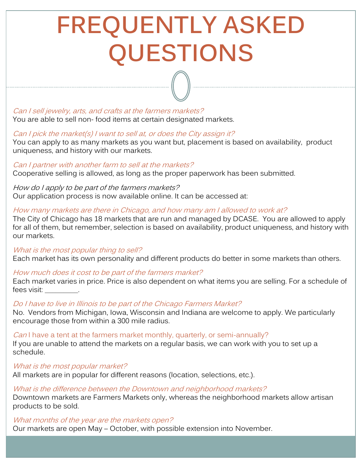### **FREQUENTLY ASKED QUESTIONS**

Can I sell jewelry, arts, and crafts at the farmers markets? You are able to sell non- food items at certain designated markets.

#### Can I pick the market(s) I want to sell at, or does the City assign it?

You can apply to as many markets as you want but, placement is based on availability, product uniqueness, and history with our markets.

#### Can I partner with another farm to sell at the markets?

Cooperative selling is allowed, as long as the proper paperwork has been submitted.

How do I apply to be part of the farmers markets? Our application process is now available online. It can be accessed at:

#### How many markets are there in Chicago, and how many am I allowed to work at?

The City of Chicago has 18 markets that are run and managed by DCASE. You are allowed to apply for all of them, but remember, selection is based on availability, product uniqueness, and history with our markets.

#### What is the most popular thing to sell?

Each market has its own personality and different products do better in some markets than others.

#### How much does it cost to be part of the farmers market?

Each market varies in price. Price is also dependent on what items you are selling. For a schedule of fees visit:

#### Do I have to live in Illinois to be part of the Chicago Farmers Market?

No. Vendors from Michigan, Iowa, Wisconsin and Indiana are welcome to apply. We particularly encourage those from within a 300 mile radius.

#### Can I have a tent at the farmers market monthly, quarterly, or semi-annually?

If you are unable to attend the markets on a regular basis, we can work with you to set up a schedule.

#### What is the most popular market?

All markets are in popular for different reasons (location, selections, etc.).

#### What is the difference between the Downtown and neighborhood markets?

Downtown markets are Farmers Markets only, whereas the neighborhood markets allow artisan products to be sold.

#### What months of the year are the markets open?

Our markets are open May – October, with possible extension into November.